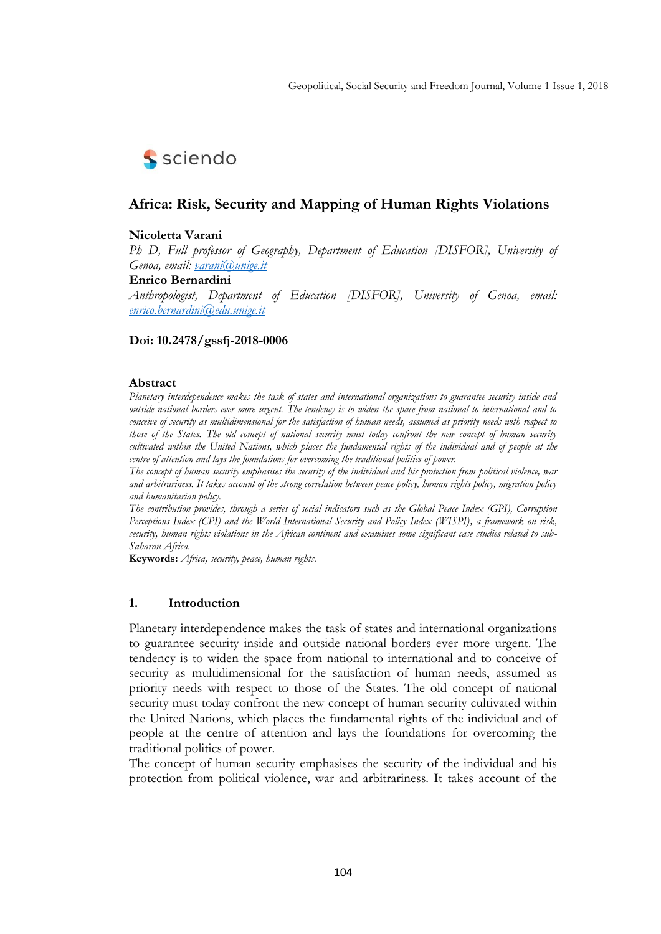

## **Africa: Risk, Security and Mapping of Human Rights Violations**

## **Nicoletta Varani**

*Ph D, Full professor of Geography, Department of Education [DISFOR], University of Genoa, email: [varani@unige.it](mailto:varani@unige.it)*

#### **Enrico Bernardini**

*Anthropologist, Department of Education [DISFOR], University of Genoa, email: [enrico.bernardini@edu.unige.it](mailto:enrico.bernardini@edu.unige.it)* 

#### **Doi: 10.2478/gssfj-2018-0006**

#### **Abstract**

*Planetary interdependence makes the task of states and international organizations to guarantee security inside and outside national borders ever more urgent. The tendency is to widen the space from national to international and to conceive of security as multidimensional for the satisfaction of human needs, assumed as priority needs with respect to those of the States. The old concept of national security must today confront the new concept of human security cultivated within the United Nations, which places the fundamental rights of the individual and of people at the centre of attention and lays the foundations for overcoming the traditional politics of power.*

*The concept of human security emphasises the security of the individual and his protection from political violence, war and arbitrariness. It takes account of the strong correlation between peace policy, human rights policy, migration policy and humanitarian policy.*

*The contribution provides, through a series of social indicators such as the Global Peace Index (GPI), Corruption Perceptions Index (CPI) and the World International Security and Policy Index (WISPI), a framework on risk, security, human rights violations in the African continent and examines some significant case studies related to sub-Saharan Africa.*

**Keywords:** *Africa, security, peace, human rights.* 

#### **1. Introduction**

Planetary interdependence makes the task of states and international organizations to guarantee security inside and outside national borders ever more urgent. The tendency is to widen the space from national to international and to conceive of security as multidimensional for the satisfaction of human needs, assumed as priority needs with respect to those of the States. The old concept of national security must today confront the new concept of human security cultivated within the United Nations, which places the fundamental rights of the individual and of people at the centre of attention and lays the foundations for overcoming the traditional politics of power.

The concept of human security emphasises the security of the individual and his protection from political violence, war and arbitrariness. It takes account of the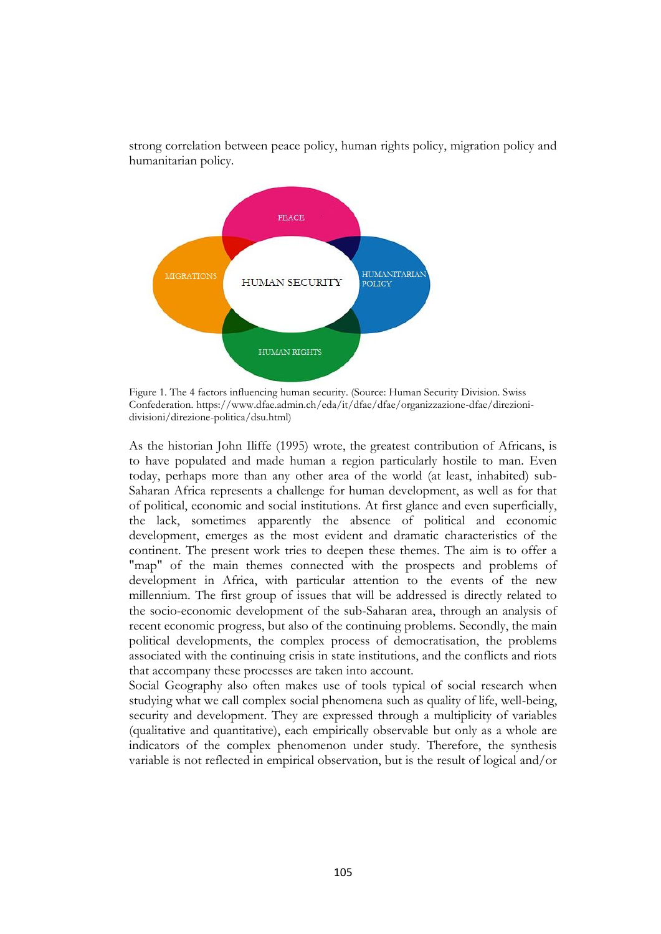

strong correlation between peace policy, human rights policy, migration policy and humanitarian policy.

Figure 1. The 4 factors influencing human security. (Source: Human Security Division. Swiss Confederation. https://www.dfae.admin.ch/eda/it/dfae/dfae/organizzazione-dfae/direzionidivisioni/direzione-politica/dsu.html)

As the historian John Iliffe (1995) wrote, the greatest contribution of Africans, is to have populated and made human a region particularly hostile to man. Even today, perhaps more than any other area of the world (at least, inhabited) sub-Saharan Africa represents a challenge for human development, as well as for that of political, economic and social institutions. At first glance and even superficially, the lack, sometimes apparently the absence of political and economic development, emerges as the most evident and dramatic characteristics of the continent. The present work tries to deepen these themes. The aim is to offer a "map" of the main themes connected with the prospects and problems of development in Africa, with particular attention to the events of the new millennium. The first group of issues that will be addressed is directly related to the socio-economic development of the sub-Saharan area, through an analysis of recent economic progress, but also of the continuing problems. Secondly, the main political developments, the complex process of democratisation, the problems associated with the continuing crisis in state institutions, and the conflicts and riots that accompany these processes are taken into account.

Social Geography also often makes use of tools typical of social research when studying what we call complex social phenomena such as quality of life, well-being, security and development. They are expressed through a multiplicity of variables (qualitative and quantitative), each empirically observable but only as a whole are indicators of the complex phenomenon under study. Therefore, the synthesis variable is not reflected in empirical observation, but is the result of logical and/or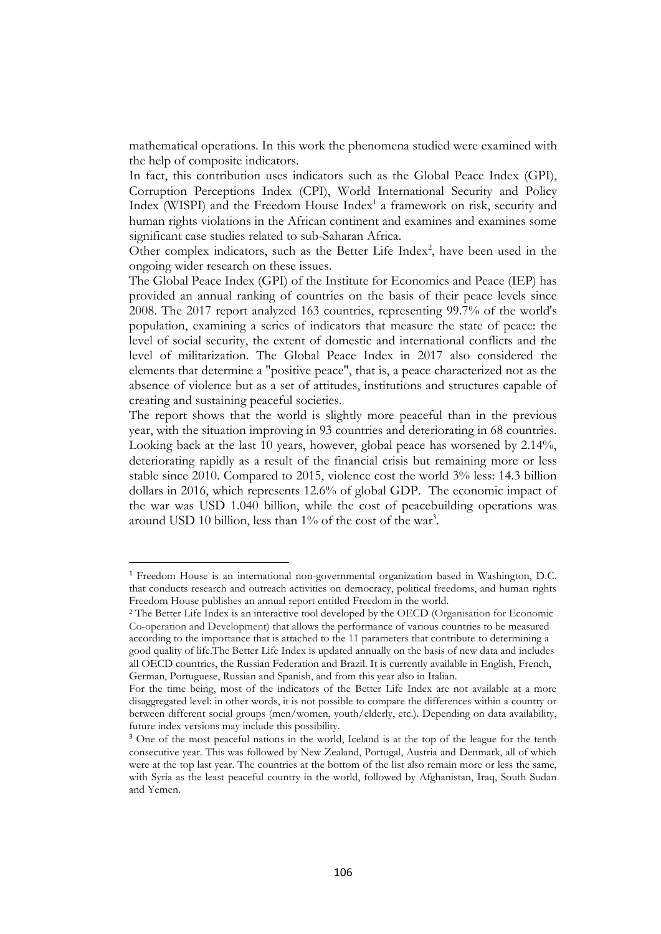mathematical operations. In this work the phenomena studied were examined with the help of composite indicators.

In fact, this contribution uses indicators such as the Global Peace Index (GPI), Corruption Perceptions Index (CPI), World International Security and Policy Index (WISPI) and the Freedom House Index<sup>1</sup> a framework on risk, security and human rights violations in the African continent and examines and examines some significant case studies related to sub-Saharan Africa.

Other complex indicators, such as the Better Life Index<sup>2</sup>, have been used in the ongoing wider research on these issues.

The Global Peace Index (GPI) of the Institute for Economics and Peace (IEP) has provided an annual ranking of countries on the basis of their peace levels since 2008. The 2017 report analyzed 163 countries, representing 99.7% of the world's population, examining a series of indicators that measure the state of peace: the level of social security, the extent of domestic and international conflicts and the level of militarization. The Global Peace Index in 2017 also considered the elements that determine a "positive peace", that is, a peace characterized not as the absence of violence but as a set of attitudes, institutions and structures capable of creating and sustaining peaceful societies.

The report shows that the world is slightly more peaceful than in the previous year, with the situation improving in 93 countries and deteriorating in 68 countries. Looking back at the last 10 years, however, global peace has worsened by 2.14%, deteriorating rapidly as a result of the financial crisis but remaining more or less stable since 2010. Compared to 2015, violence cost the world 3% less: 14.3 billion dollars in 2016, which represents 12.6% of global GDP. The economic impact of the war was USD 1.040 billion, while the cost of peacebuilding operations was around USD 10 billion, less than 1% of the cost of the war<sup>3</sup>.

<sup>1</sup> Freedom House is an international non-governmental organization based in Washington, D.C. that conducts research and outreach activities on democracy, political freedoms, and human rights Freedom House publishes an annual report entitled Freedom in the world.

<sup>2</sup> The Better Life Index is an interactive tool developed by the OECD (Organisation for Economic Co-operation and Development) that allows the performance of various countries to be measured according to the importance that is attached to the 11 parameters that contribute to determining a good quality of life.The Better Life Index is updated annually on the basis of new data and includes all OECD countries, the Russian Federation and Brazil. It is currently available in English, French, German, Portuguese, Russian and Spanish, and from this year also in Italian.

For the time being, most of the indicators of the Better Life Index are not available at a more disaggregated level: in other words, it is not possible to compare the differences within a country or between different social groups (men/women, youth/elderly, etc.). Depending on data availability, future index versions may include this possibility.

<sup>&</sup>lt;sup>3</sup> One of the most peaceful nations in the world, Iceland is at the top of the league for the tenth consecutive year. This was followed by New Zealand, Portugal, Austria and Denmark, all of which were at the top last year. The countries at the bottom of the list also remain more or less the same, with Syria as the least peaceful country in the world, followed by Afghanistan, Iraq, South Sudan and Yemen.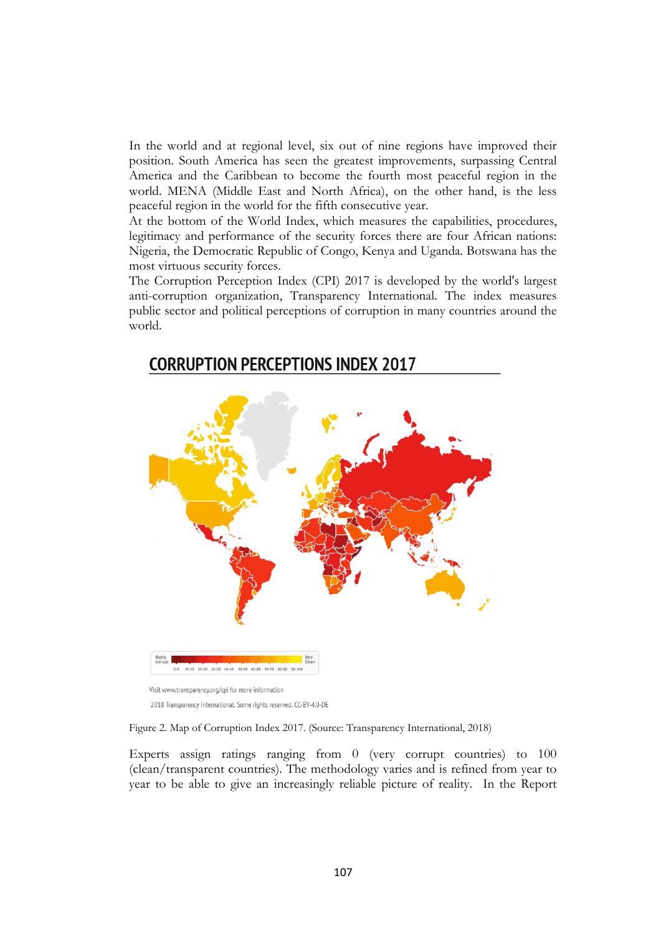In the world and at regional level, six out of nine regions have improved their position. South America has seen the greatest improvements, surpassing Central America and the Caribbean to become the fourth most peaceful region in the world. MENA (Middle East and North Africa), on the other hand, is the less peaceful region in the world for the fifth consecutive year.

At the bottom of the World Index, which measures the capabilities, procedures, legitimacy and performance of the security forces there are four African nations: Nigeria, the Democratic Republic of Congo, Kenya and Uganda. Botswana has the most virtuous security forces.

The Corruption Perception Index (CPI) 2017 is developed by the world's largest anti-corruption organization, Transparency International. The index measures public sector and political perceptions of corruption in many countries around the world.



# **CORRUPTION PERCEPTIONS INDEX 2017**

Figure 2. Map of Corruption Index 2017. (Source: Transparency International, 2018)

Experts assign ratings ranging from 0 (very corrupt countries) to 100 (clean/transparent countries). The methodology varies and is refined from year to year to be able to give an increasingly reliable picture of reality. In the Report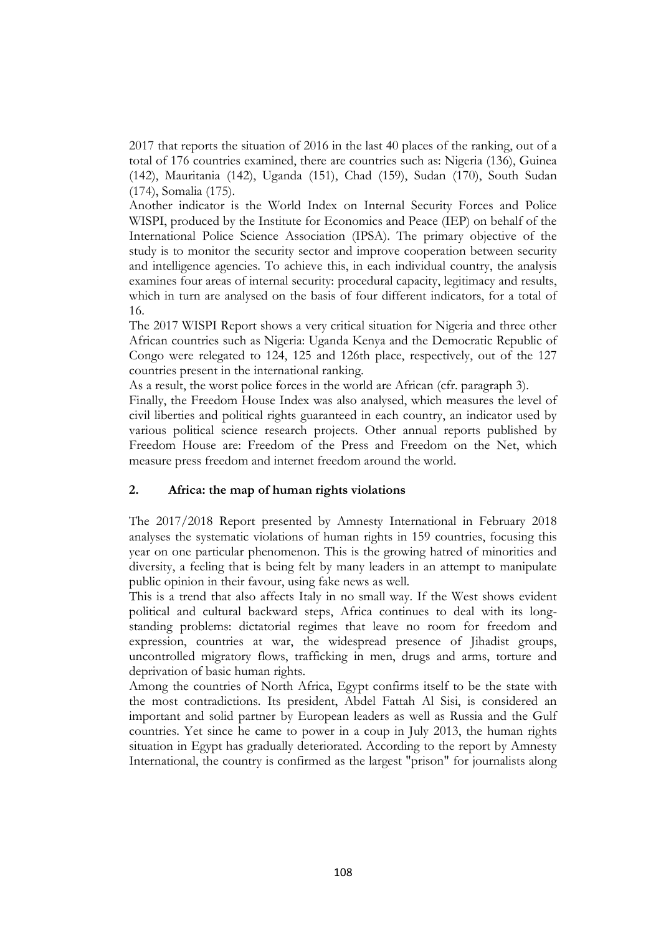2017 that reports the situation of 2016 in the last 40 places of the ranking, out of a total of 176 countries examined, there are countries such as: Nigeria (136), Guinea (142), Mauritania (142), Uganda (151), Chad (159), Sudan (170), South Sudan (174), Somalia (175).

Another indicator is the World Index on Internal Security Forces and Police WISPI, produced by the Institute for Economics and Peace (IEP) on behalf of the International Police Science Association (IPSA). The primary objective of the study is to monitor the security sector and improve cooperation between security and intelligence agencies. To achieve this, in each individual country, the analysis examines four areas of internal security: procedural capacity, legitimacy and results, which in turn are analysed on the basis of four different indicators, for a total of 16.

The 2017 WISPI Report shows a very critical situation for Nigeria and three other African countries such as Nigeria: Uganda Kenya and the Democratic Republic of Congo were relegated to 124, 125 and 126th place, respectively, out of the 127 countries present in the international ranking.

As a result, the worst police forces in the world are African (cfr. paragraph 3).

Finally, the Freedom House Index was also analysed, which measures the level of civil liberties and political rights guaranteed in each country, an indicator used by various political science research projects. Other annual reports published by Freedom House are: Freedom of the Press and Freedom on the Net, which measure press freedom and internet freedom around the world.

## **2. Africa: the map of human rights violations**

The 2017/2018 Report presented by Amnesty International in February 2018 analyses the systematic violations of human rights in 159 countries, focusing this year on one particular phenomenon. This is the growing hatred of minorities and diversity, a feeling that is being felt by many leaders in an attempt to manipulate public opinion in their favour, using fake news as well.

This is a trend that also affects Italy in no small way. If the West shows evident political and cultural backward steps, Africa continues to deal with its longstanding problems: dictatorial regimes that leave no room for freedom and expression, countries at war, the widespread presence of Jihadist groups, uncontrolled migratory flows, trafficking in men, drugs and arms, torture and deprivation of basic human rights.

Among the countries of North Africa, Egypt confirms itself to be the state with the most contradictions. Its president, Abdel Fattah Al Sisi, is considered an important and solid partner by European leaders as well as Russia and the Gulf countries. Yet since he came to power in a coup in July 2013, the human rights situation in Egypt has gradually deteriorated. According to the report by Amnesty International, the country is confirmed as the largest "prison" for journalists along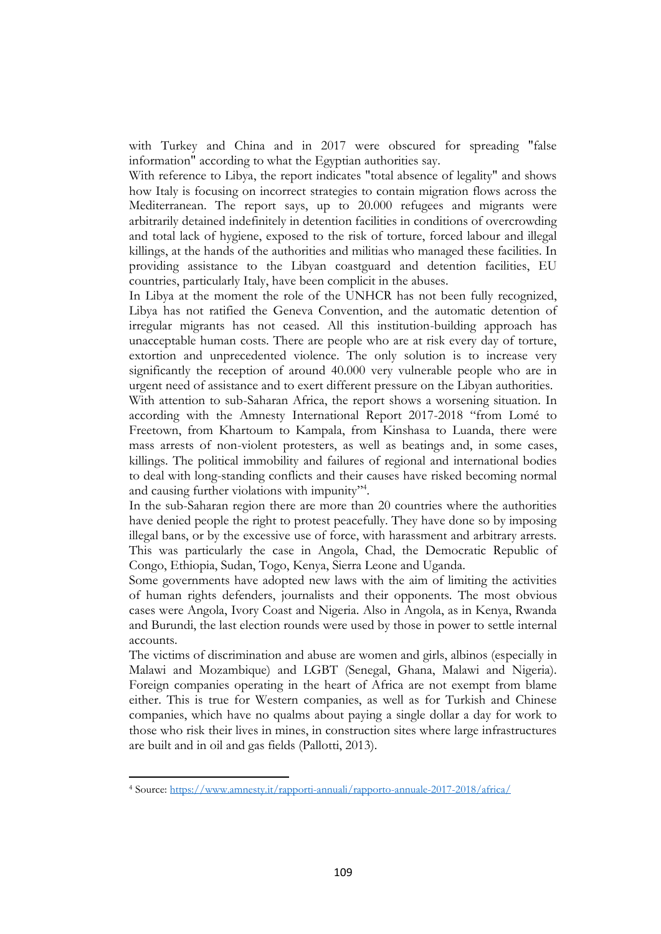with Turkey and China and in 2017 were obscured for spreading "false information" according to what the Egyptian authorities say.

With reference to Libya, the report indicates "total absence of legality" and shows how Italy is focusing on incorrect strategies to contain migration flows across the Mediterranean. The report says, up to 20.000 refugees and migrants were arbitrarily detained indefinitely in detention facilities in conditions of overcrowding and total lack of hygiene, exposed to the risk of torture, forced labour and illegal killings, at the hands of the authorities and militias who managed these facilities. In providing assistance to the Libyan coastguard and detention facilities, EU countries, particularly Italy, have been complicit in the abuses.

In Libya at the moment the role of the UNHCR has not been fully recognized, Libya has not ratified the Geneva Convention, and the automatic detention of irregular migrants has not ceased. All this institution-building approach has unacceptable human costs. There are people who are at risk every day of torture, extortion and unprecedented violence. The only solution is to increase very significantly the reception of around 40.000 very vulnerable people who are in urgent need of assistance and to exert different pressure on the Libyan authorities. With attention to sub-Saharan Africa, the report shows a worsening situation. In according with the Amnesty International Report 2017-2018 "from Lomé to Freetown, from Khartoum to Kampala, from Kinshasa to Luanda, there were mass arrests of non-violent protesters, as well as beatings and, in some cases, killings. The political immobility and failures of regional and international bodies to deal with long-standing conflicts and their causes have risked becoming normal and causing further violations with impunity"<sup>4</sup>.

In the sub-Saharan region there are more than 20 countries where the authorities have denied people the right to protest peacefully. They have done so by imposing illegal bans, or by the excessive use of force, with harassment and arbitrary arrests. This was particularly the case in Angola, Chad, the Democratic Republic of Congo, Ethiopia, Sudan, Togo, Kenya, Sierra Leone and Uganda.

Some governments have adopted new laws with the aim of limiting the activities of human rights defenders, journalists and their opponents. The most obvious cases were Angola, Ivory Coast and Nigeria. Also in Angola, as in Kenya, Rwanda and Burundi, the last election rounds were used by those in power to settle internal accounts.

The victims of discrimination and abuse are women and girls, albinos (especially in Malawi and Mozambique) and LGBT (Senegal, Ghana, Malawi and Nigeria). Foreign companies operating in the heart of Africa are not exempt from blame either. This is true for Western companies, as well as for Turkish and Chinese companies, which have no qualms about paying a single dollar a day for work to those who risk their lives in mines, in construction sites where large infrastructures are built and in oil and gas fields (Pallotti, 2013).

<sup>4</sup> Source:<https://www.amnesty.it/rapporti-annuali/rapporto-annuale-2017-2018/africa/>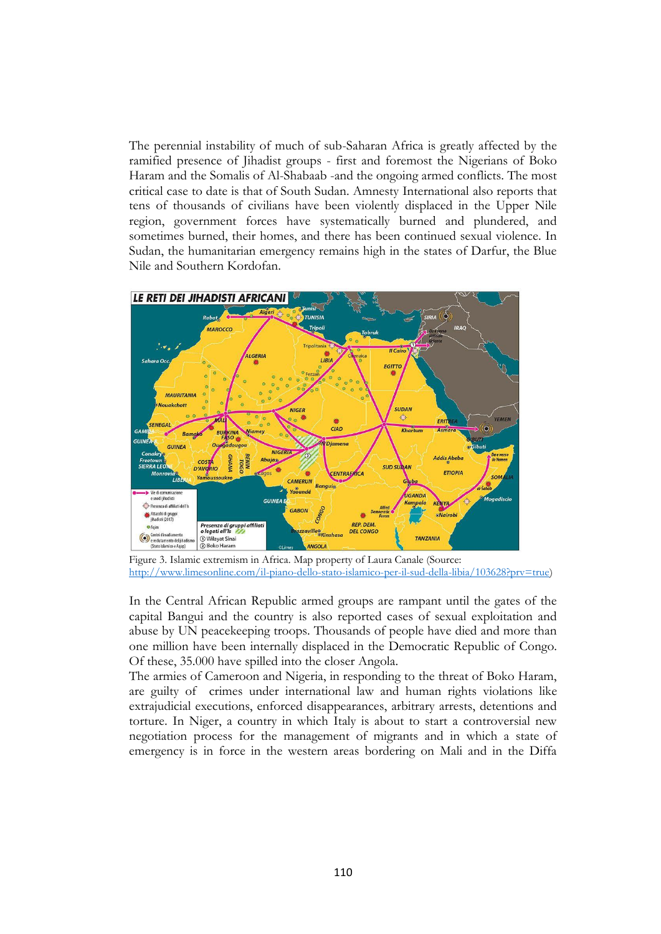The perennial instability of much of sub-Saharan Africa is greatly affected by the ramified presence of Jihadist groups - first and foremost the Nigerians of Boko Haram and the Somalis of Al-Shabaab -and the ongoing armed conflicts. The most critical case to date is that of South Sudan. Amnesty International also reports that tens of thousands of civilians have been violently displaced in the Upper Nile region, government forces have systematically burned and plundered, and sometimes burned, their homes, and there has been continued sexual violence. In Sudan, the humanitarian emergency remains high in the states of Darfur, the Blue Nile and Southern Kordofan.



Figure 3. Islamic extremism in Africa. Map property of Laura Canale (Source: [http://www.limesonline.com/il-piano-dello-stato-islamico-per-il-sud-della-libia/103628?prv=true\)](http://www.limesonline.com/il-piano-dello-stato-islamico-per-il-sud-della-libia/103628?prv=true)

In the Central African Republic armed groups are rampant until the gates of the capital Bangui and the country is also reported cases of sexual exploitation and abuse by UN peacekeeping troops. Thousands of people have died and more than one million have been internally displaced in the Democratic Republic of Congo. Of these, 35.000 have spilled into the closer Angola.

The armies of Cameroon and Nigeria, in responding to the threat of Boko Haram, are guilty of crimes under international law and human rights violations like extrajudicial executions, enforced disappearances, arbitrary arrests, detentions and torture. In Niger, a country in which Italy is about to start a controversial new negotiation process for the management of migrants and in which a state of emergency is in force in the western areas bordering on Mali and in the Diffa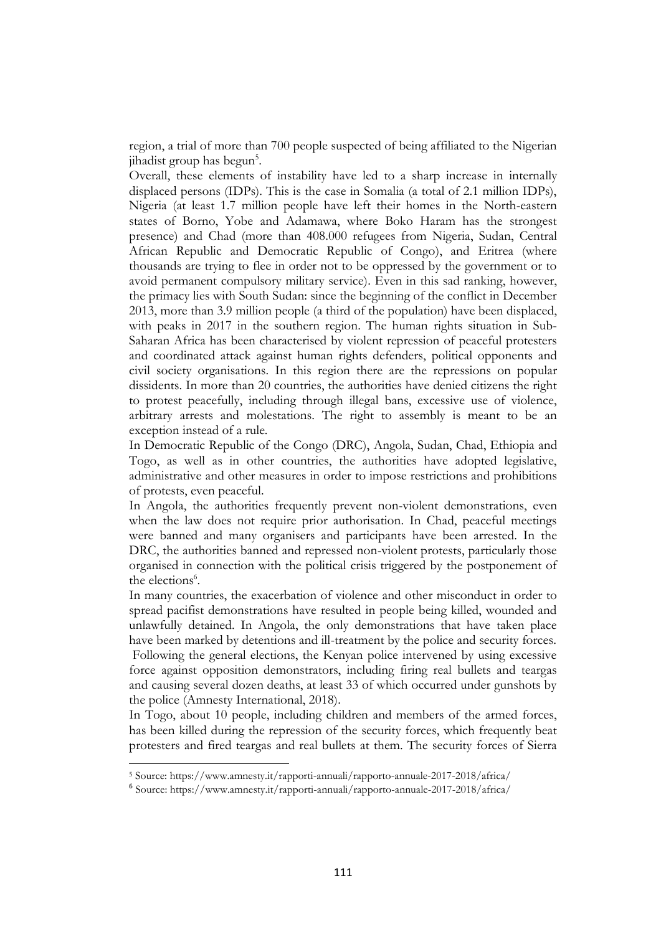region, a trial of more than 700 people suspected of being affiliated to the Nigerian jihadist group has begun<sup>5</sup>.

Overall, these elements of instability have led to a sharp increase in internally displaced persons (IDPs). This is the case in Somalia (a total of 2.1 million IDPs), Nigeria (at least 1.7 million people have left their homes in the North-eastern states of Borno, Yobe and Adamawa, where Boko Haram has the strongest presence) and Chad (more than 408.000 refugees from Nigeria, Sudan, Central African Republic and Democratic Republic of Congo), and Eritrea (where thousands are trying to flee in order not to be oppressed by the government or to avoid permanent compulsory military service). Even in this sad ranking, however, the primacy lies with South Sudan: since the beginning of the conflict in December 2013, more than 3.9 million people (a third of the population) have been displaced, with peaks in 2017 in the southern region. The human rights situation in Sub-Saharan Africa has been characterised by violent repression of peaceful protesters and coordinated attack against human rights defenders, political opponents and civil society organisations. In this region there are the repressions on popular dissidents. In more than 20 countries, the authorities have denied citizens the right to protest peacefully, including through illegal bans, excessive use of violence, arbitrary arrests and molestations. The right to assembly is meant to be an exception instead of a rule.

In Democratic Republic of the Congo (DRC), Angola, Sudan, Chad, Ethiopia and Togo, as well as in other countries, the authorities have adopted legislative, administrative and other measures in order to impose restrictions and prohibitions of protests, even peaceful.

In Angola, the authorities frequently prevent non-violent demonstrations, even when the law does not require prior authorisation. In Chad, peaceful meetings were banned and many organisers and participants have been arrested. In the DRC, the authorities banned and repressed non-violent protests, particularly those organised in connection with the political crisis triggered by the postponement of the elections<sup>6</sup>.

In many countries, the exacerbation of violence and other misconduct in order to spread pacifist demonstrations have resulted in people being killed, wounded and unlawfully detained. In Angola, the only demonstrations that have taken place have been marked by detentions and ill-treatment by the police and security forces. Following the general elections, the Kenyan police intervened by using excessive force against opposition demonstrators, including firing real bullets and teargas and causing several dozen deaths, at least 33 of which occurred under gunshots by the police (Amnesty International, 2018).

In Togo, about 10 people, including children and members of the armed forces, has been killed during the repression of the security forces, which frequently beat protesters and fired teargas and real bullets at them. The security forces of Sierra

<u>.</u>

<sup>5</sup> Source: https://www.amnesty.it/rapporti-annuali/rapporto-annuale-2017-2018/africa/

<sup>6</sup> Source: https://www.amnesty.it/rapporti-annuali/rapporto-annuale-2017-2018/africa/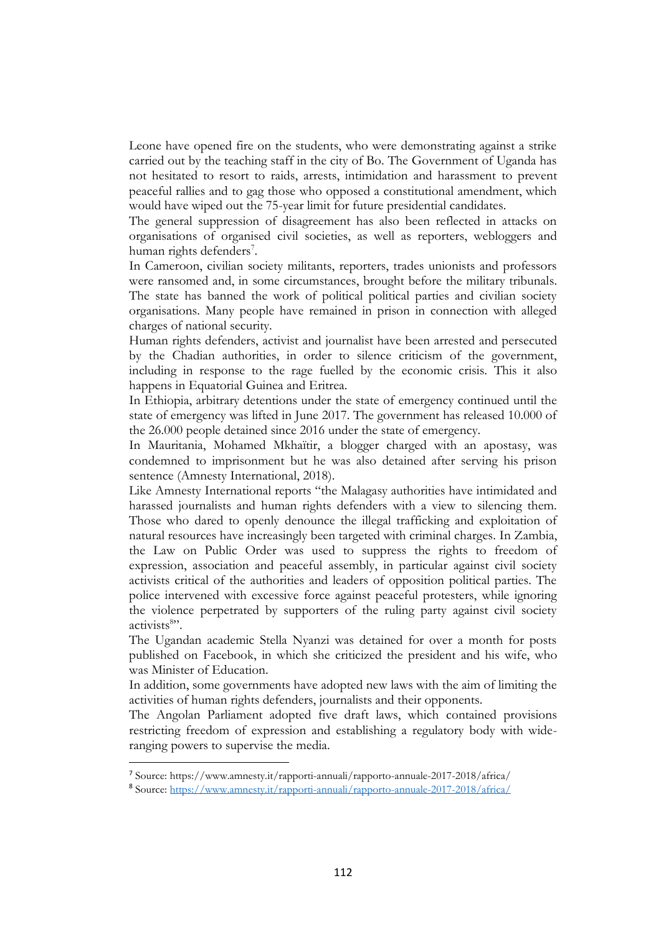Leone have opened fire on the students, who were demonstrating against a strike carried out by the teaching staff in the city of Bo. The Government of Uganda has not hesitated to resort to raids, arrests, intimidation and harassment to prevent peaceful rallies and to gag those who opposed a constitutional amendment, which would have wiped out the 75-year limit for future presidential candidates.

The general suppression of disagreement has also been reflected in attacks on organisations of organised civil societies, as well as reporters, webloggers and human rights defenders<sup>7</sup>.

In Cameroon, civilian society militants, reporters, trades unionists and professors were ransomed and, in some circumstances, brought before the military tribunals. The state has banned the work of political political parties and civilian society organisations. Many people have remained in prison in connection with alleged charges of national security.

Human rights defenders, activist and journalist have been arrested and persecuted by the Chadian authorities, in order to silence criticism of the government, including in response to the rage fuelled by the economic crisis. This it also happens in Equatorial Guinea and Eritrea.

In Ethiopia, arbitrary detentions under the state of emergency continued until the state of emergency was lifted in June 2017. The government has released 10.000 of the 26.000 people detained since 2016 under the state of emergency.

In Mauritania, Mohamed Mkhaïtir, a blogger charged with an apostasy, was condemned to imprisonment but he was also detained after serving his prison sentence (Amnesty International, 2018).

Like Amnesty International reports "the Malagasy authorities have intimidated and harassed journalists and human rights defenders with a view to silencing them. Those who dared to openly denounce the illegal trafficking and exploitation of natural resources have increasingly been targeted with criminal charges. In Zambia, the Law on Public Order was used to suppress the rights to freedom of expression, association and peaceful assembly, in particular against civil society activists critical of the authorities and leaders of opposition political parties. The police intervened with excessive force against peaceful protesters, while ignoring the violence perpetrated by supporters of the ruling party against civil society activists<sup>8</sup>".

The Ugandan academic Stella Nyanzi was detained for over a month for posts published on Facebook, in which she criticized the president and his wife, who was Minister of Education.

In addition, some governments have adopted new laws with the aim of limiting the activities of human rights defenders, journalists and their opponents.

The Angolan Parliament adopted five draft laws, which contained provisions restricting freedom of expression and establishing a regulatory body with wideranging powers to supervise the media.

<sup>7</sup> Source: https://www.amnesty.it/rapporti-annuali/rapporto-annuale-2017-2018/africa/

<sup>8</sup> Source:<https://www.amnesty.it/rapporti-annuali/rapporto-annuale-2017-2018/africa/>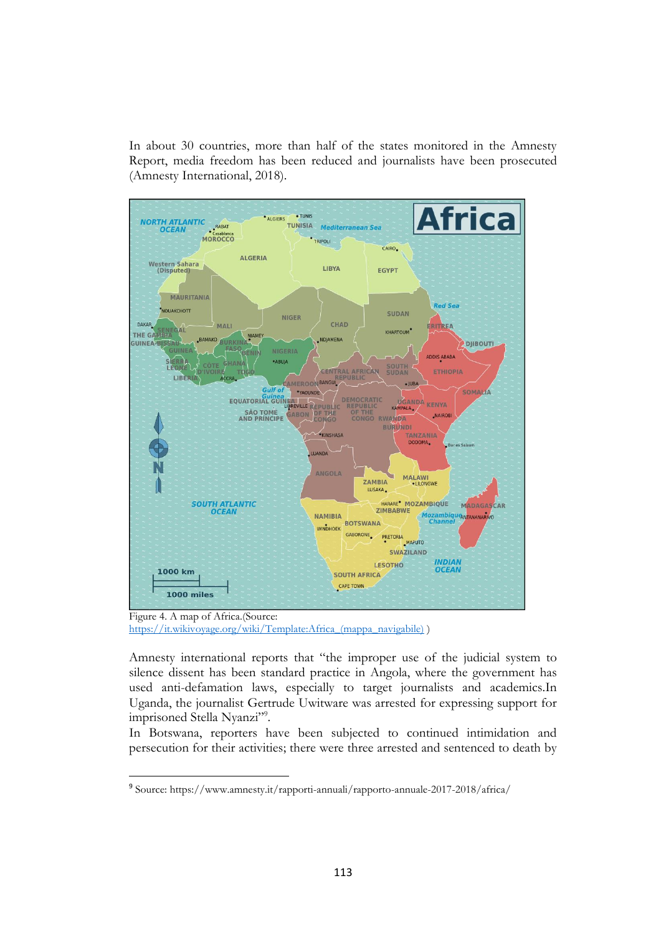In about 30 countries, more than half of the states monitored in the Amnesty Report, media freedom has been reduced and journalists have been prosecuted (Amnesty International, 2018).



Figure 4. A map of Africa.(Source: [https://it.wikivoyage.org/wiki/Template:Africa\\_\(mappa\\_navigabile\)](https://it.wikivoyage.org/wiki/Template:Africa_(mappa_navigabile)) )

<u>.</u>

Amnesty international reports that "the improper use of the judicial system to silence dissent has been standard practice in Angola, where the government has used anti-defamation laws, especially to target journalists and academics.In Uganda, the journalist Gertrude Uwitware was arrested for expressing support for imprisoned Stella Nyanzi"<sup>9</sup>.

In Botswana, reporters have been subjected to continued intimidation and persecution for their activities; there were three arrested and sentenced to death by

<sup>9</sup> Source: https://www.amnesty.it/rapporti-annuali/rapporto-annuale-2017-2018/africa/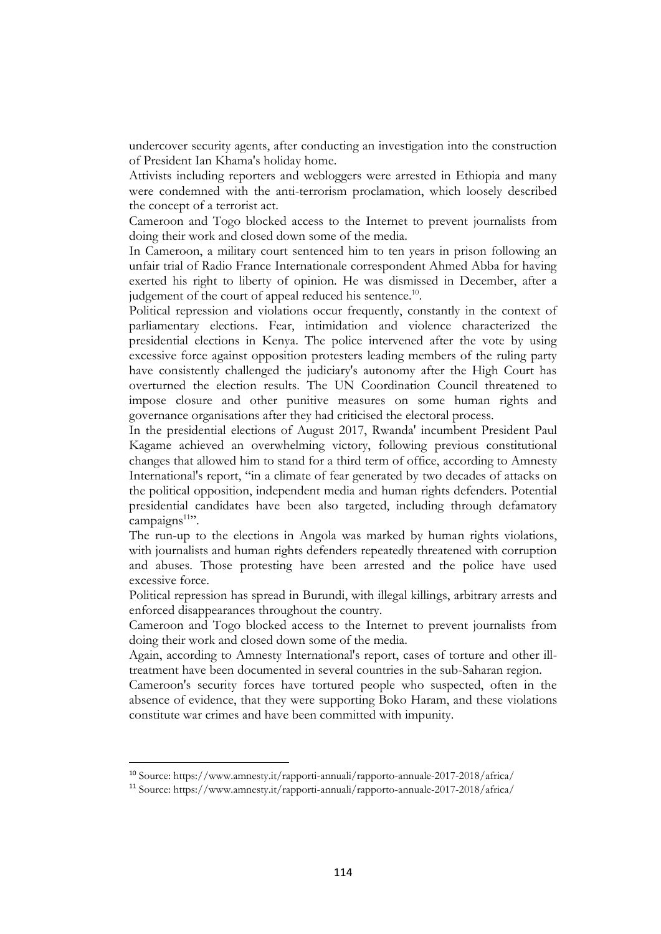undercover security agents, after conducting an investigation into the construction of President Ian Khama's holiday home.

Attivists including reporters and webloggers were arrested in Ethiopia and many were condemned with the anti-terrorism proclamation, which loosely described the concept of a terrorist act.

Cameroon and Togo blocked access to the Internet to prevent journalists from doing their work and closed down some of the media.

In Cameroon, a military court sentenced him to ten years in prison following an unfair trial of Radio France Internationale correspondent Ahmed Abba for having exerted his right to liberty of opinion. He was dismissed in December, after a judgement of the court of appeal reduced his sentence.<sup>10</sup>.

Political repression and violations occur frequently, constantly in the context of parliamentary elections. Fear, intimidation and violence characterized the presidential elections in Kenya. The police intervened after the vote by using excessive force against opposition protesters leading members of the ruling party have consistently challenged the judiciary's autonomy after the High Court has overturned the election results. The UN Coordination Council threatened to impose closure and other punitive measures on some human rights and governance organisations after they had criticised the electoral process.

In the presidential elections of August 2017, Rwanda' incumbent President Paul Kagame achieved an overwhelming victory, following previous constitutional changes that allowed him to stand for a third term of office, according to Amnesty International's report, "in a climate of fear generated by two decades of attacks on the political opposition, independent media and human rights defenders. Potential presidential candidates have been also targeted, including through defamatory campaigns<sup>11</sup>".

The run-up to the elections in Angola was marked by human rights violations, with journalists and human rights defenders repeatedly threatened with corruption and abuses. Those protesting have been arrested and the police have used excessive force.

Political repression has spread in Burundi, with illegal killings, arbitrary arrests and enforced disappearances throughout the country.

Cameroon and Togo blocked access to the Internet to prevent journalists from doing their work and closed down some of the media.

Again, according to Amnesty International's report, cases of torture and other illtreatment have been documented in several countries in the sub-Saharan region.

Cameroon's security forces have tortured people who suspected, often in the absence of evidence, that they were supporting Boko Haram, and these violations constitute war crimes and have been committed with impunity.

<sup>10</sup> Source: https://www.amnesty.it/rapporti-annuali/rapporto-annuale-2017-2018/africa/

<sup>11</sup> Source: https://www.amnesty.it/rapporti-annuali/rapporto-annuale-2017-2018/africa/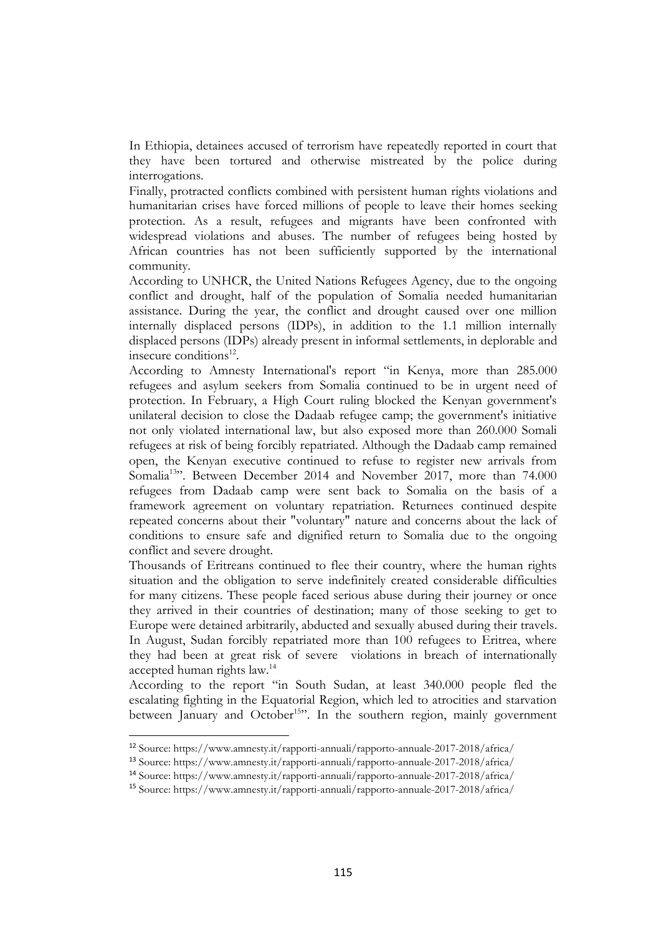In Ethiopia, detainees accused of terrorism have repeatedly reported in court that they have been tortured and otherwise mistreated by the police during interrogations.

Finally, protracted conflicts combined with persistent human rights violations and humanitarian crises have forced millions of people to leave their homes seeking protection. As a result, refugees and migrants have been confronted with widespread violations and abuses. The number of refugees being hosted by African countries has not been sufficiently supported by the international community.

According to UNHCR, the United Nations Refugees Agency, due to the ongoing conflict and drought, half of the population of Somalia needed humanitarian assistance. During the year, the conflict and drought caused over one million internally displaced persons (IDPs), in addition to the 1.1 million internally displaced persons (IDPs) already present in informal settlements, in deplorable and insecure conditions<sup>12</sup>.

According to Amnesty International's report "in Kenya, more than 285.000 refugees and asylum seekers from Somalia continued to be in urgent need of protection. In February, a High Court ruling blocked the Kenyan government's unilateral decision to close the Dadaab refugee camp; the government's initiative not only violated international law, but also exposed more than 260.000 Somali refugees at risk of being forcibly repatriated. Although the Dadaab camp remained open, the Kenyan executive continued to refuse to register new arrivals from Somalia<sup>13</sup>". Between December 2014 and November 2017, more than 74.000 refugees from Dadaab camp were sent back to Somalia on the basis of a framework agreement on voluntary repatriation. Returnees continued despite repeated concerns about their "voluntary" nature and concerns about the lack of conditions to ensure safe and dignified return to Somalia due to the ongoing conflict and severe drought.

Thousands of Eritreans continued to flee their country, where the human rights situation and the obligation to serve indefinitely created considerable difficulties for many citizens. These people faced serious abuse during their journey or once they arrived in their countries of destination; many of those seeking to get to Europe were detained arbitrarily, abducted and sexually abused during their travels. In August, Sudan forcibly repatriated more than 100 refugees to Eritrea, where they had been at great risk of severe violations in breach of internationally accepted human rights law.<sup>14</sup>

According to the report "in South Sudan, at least 340.000 people fled the escalating fighting in the Equatorial Region, which led to atrocities and starvation between January and October<sup>15</sup>". In the southern region, mainly government

<u>.</u>

<sup>12</sup> Source: https://www.amnesty.it/rapporti-annuali/rapporto-annuale-2017-2018/africa/

<sup>13</sup> Source: https://www.amnesty.it/rapporti-annuali/rapporto-annuale-2017-2018/africa/

<sup>14</sup> Source: https://www.amnesty.it/rapporti-annuali/rapporto-annuale-2017-2018/africa/

<sup>15</sup> Source: https://www.amnesty.it/rapporti-annuali/rapporto-annuale-2017-2018/africa/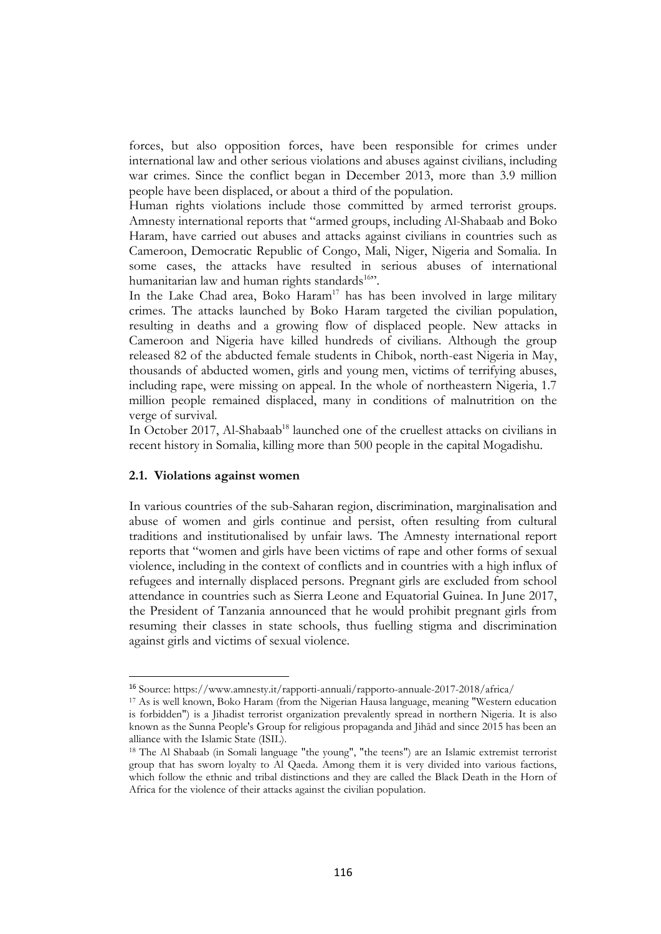forces, but also opposition forces, have been responsible for crimes under international law and other serious violations and abuses against civilians, including war crimes. Since the conflict began in December 2013, more than 3.9 million people have been displaced, or about a third of the population.

Human rights violations include those committed by armed terrorist groups. Amnesty international reports that "armed groups, including Al-Shabaab and Boko Haram, have carried out abuses and attacks against civilians in countries such as Cameroon, Democratic Republic of Congo, Mali, Niger, Nigeria and Somalia. In some cases, the attacks have resulted in serious abuses of international humanitarian law and human rights standards<sup>16</sup>".

In the Lake Chad area, Boko Haram<sup>17</sup> has has been involved in large military crimes. The attacks launched by Boko Haram targeted the civilian population, resulting in deaths and a growing flow of displaced people. New attacks in Cameroon and Nigeria have killed hundreds of civilians. Although the group released 82 of the abducted female students in Chibok, north-east Nigeria in May, thousands of abducted women, girls and young men, victims of terrifying abuses, including rape, were missing on appeal. In the whole of northeastern Nigeria, 1.7 million people remained displaced, many in conditions of malnutrition on the verge of survival.

In October 2017, Al-Shabaab<sup>18</sup> launched one of the cruellest attacks on civilians in recent history in Somalia, killing more than 500 people in the capital Mogadishu.

#### **2.1. Violations against women**

<u>.</u>

In various countries of the sub-Saharan region, discrimination, marginalisation and abuse of women and girls continue and persist, often resulting from cultural traditions and institutionalised by unfair laws. The Amnesty international report reports that "women and girls have been victims of rape and other forms of sexual violence, including in the context of conflicts and in countries with a high influx of refugees and internally displaced persons. Pregnant girls are excluded from school attendance in countries such as Sierra Leone and Equatorial Guinea. In June 2017, the President of Tanzania announced that he would prohibit pregnant girls from resuming their classes in state schools, thus fuelling stigma and discrimination against girls and victims of sexual violence.

<sup>16</sup> Source: https://www.amnesty.it/rapporti-annuali/rapporto-annuale-2017-2018/africa/

<sup>17</sup> As is well known, Boko Haram (from the Nigerian Hausa language, meaning "Western education is forbidden") is a Jihadist terrorist organization prevalently spread in northern Nigeria. It is also known as the Sunna People's Group for religious propaganda and Jihād and since 2015 has been an alliance with the Islamic State (ISIL).

<sup>18</sup> The Al Shabaab (in Somali language "the young", "the teens") are an Islamic extremist terrorist group that has sworn loyalty to Al Qaeda. Among them it is very divided into various factions, which follow the ethnic and tribal distinctions and they are called the Black Death in the Horn of Africa for the violence of their attacks against the civilian population.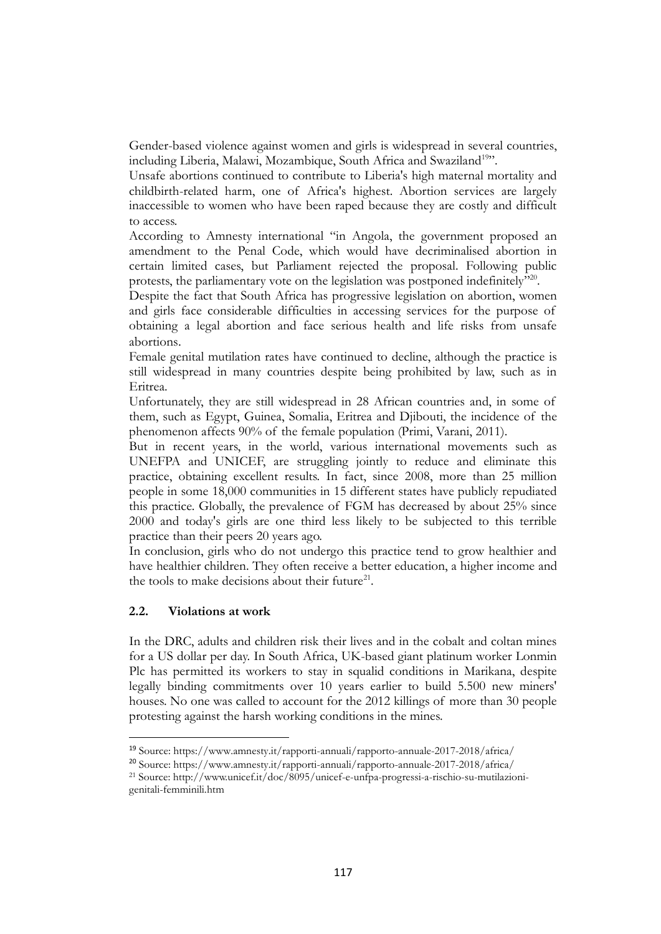Gender-based violence against women and girls is widespread in several countries, including Liberia, Malawi, Mozambique, South Africa and Swaziland<sup>19</sup>".

Unsafe abortions continued to contribute to Liberia's high maternal mortality and childbirth-related harm, one of Africa's highest. Abortion services are largely inaccessible to women who have been raped because they are costly and difficult to access.

According to Amnesty international "in Angola, the government proposed an amendment to the Penal Code, which would have decriminalised abortion in certain limited cases, but Parliament rejected the proposal. Following public protests, the parliamentary vote on the legislation was postponed indefinitely"<sup>20</sup>.

Despite the fact that South Africa has progressive legislation on abortion, women and girls face considerable difficulties in accessing services for the purpose of obtaining a legal abortion and face serious health and life risks from unsafe abortions.

Female genital mutilation rates have continued to decline, although the practice is still widespread in many countries despite being prohibited by law, such as in Eritrea.

Unfortunately, they are still widespread in 28 African countries and, in some of them, such as Egypt, Guinea, Somalia, Eritrea and Djibouti, the incidence of the phenomenon affects 90% of the female population (Primi, Varani, 2011).

But in recent years, in the world, various international movements such as UNEFPA and UNICEF, are struggling jointly to reduce and eliminate this practice, obtaining excellent results. In fact, since 2008, more than 25 million people in some 18,000 communities in 15 different states have publicly repudiated this practice. Globally, the prevalence of FGM has decreased by about 25% since 2000 and today's girls are one third less likely to be subjected to this terrible practice than their peers 20 years ago.

In conclusion, girls who do not undergo this practice tend to grow healthier and have healthier children. They often receive a better education, a higher income and the tools to make decisions about their future<sup>21</sup>.

## **2.2. Violations at work**

1

In the DRC, adults and children risk their lives and in the cobalt and coltan mines for a US dollar per day. In South Africa, UK-based giant platinum worker Lonmin Plc has permitted its workers to stay in squalid conditions in Marikana, despite legally binding commitments over 10 years earlier to build 5.500 new miners' houses. No one was called to account for the 2012 killings of more than 30 people protesting against the harsh working conditions in the mines.

<sup>19</sup> Source: https://www.amnesty.it/rapporti-annuali/rapporto-annuale-2017-2018/africa/

<sup>20</sup> Source: https://www.amnesty.it/rapporti-annuali/rapporto-annuale-2017-2018/africa/

<sup>21</sup> Source: http://www.unicef.it/doc/8095/unicef-e-unfpa-progressi-a-rischio-su-mutilazionigenitali-femminili.htm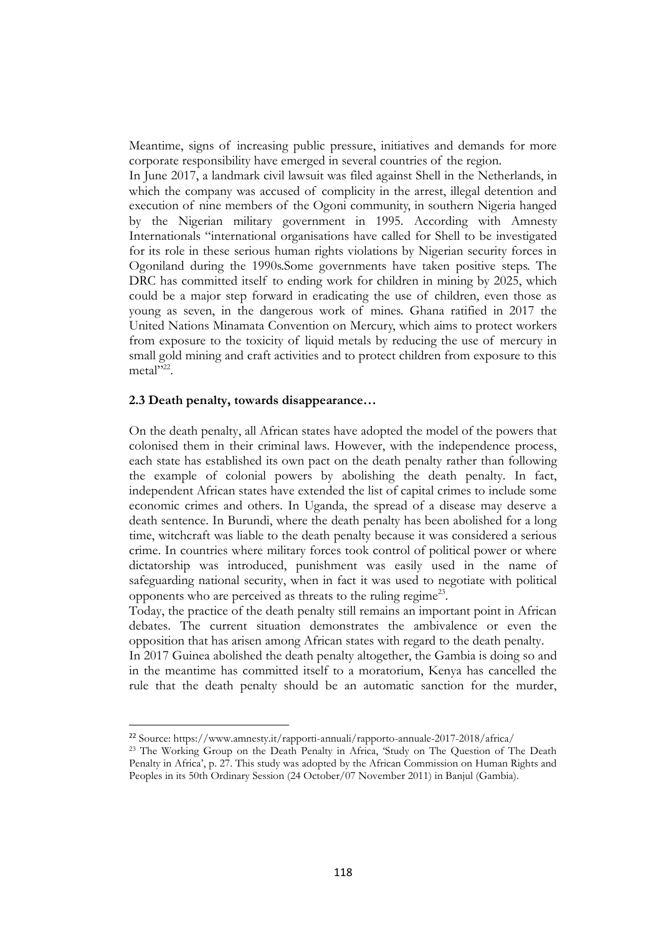Meantime, signs of increasing public pressure, initiatives and demands for more corporate responsibility have emerged in several countries of the region.

In June 2017, a landmark civil lawsuit was filed against Shell in the Netherlands, in which the company was accused of complicity in the arrest, illegal detention and execution of nine members of the Ogoni community, in southern Nigeria hanged by the Nigerian military government in 1995. According with Amnesty Internationals "international organisations have called for Shell to be investigated for its role in these serious human rights violations by Nigerian security forces in Ogoniland during the 1990s.Some governments have taken positive steps. The DRC has committed itself to ending work for children in mining by 2025, which could be a major step forward in eradicating the use of children, even those as young as seven, in the dangerous work of mines. Ghana ratified in 2017 the United Nations Minamata Convention on Mercury, which aims to protect workers from exposure to the toxicity of liquid metals by reducing the use of mercury in small gold mining and craft activities and to protect children from exposure to this metal"<sup>22</sup>.

## **2.3 Death penalty, towards disappearance…**

1

On the death penalty, all African states have adopted the model of the powers that colonised them in their criminal laws. However, with the independence process, each state has established its own pact on the death penalty rather than following the example of colonial powers by abolishing the death penalty. In fact, independent African states have extended the list of capital crimes to include some economic crimes and others. In Uganda, the spread of a disease may deserve a death sentence. In Burundi, where the death penalty has been abolished for a long time, witchcraft was liable to the death penalty because it was considered a serious crime. In countries where military forces took control of political power or where dictatorship was introduced, punishment was easily used in the name of safeguarding national security, when in fact it was used to negotiate with political opponents who are perceived as threats to the ruling regime<sup>23</sup>.

Today, the practice of the death penalty still remains an important point in African debates. The current situation demonstrates the ambivalence or even the opposition that has arisen among African states with regard to the death penalty.

In 2017 Guinea abolished the death penalty altogether, the Gambia is doing so and in the meantime has committed itself to a moratorium, Kenya has cancelled the rule that the death penalty should be an automatic sanction for the murder,

<sup>22</sup> Source: https://www.amnesty.it/rapporti-annuali/rapporto-annuale-2017-2018/africa/

<sup>&</sup>lt;sup>23</sup> The Working Group on the Death Penalty in Africa, 'Study on The Question of The Death Penalty in Africa', p. 27. This study was adopted by the African Commission on Human Rights and Peoples in its 50th Ordinary Session (24 October/07 November 2011) in Banjul (Gambia).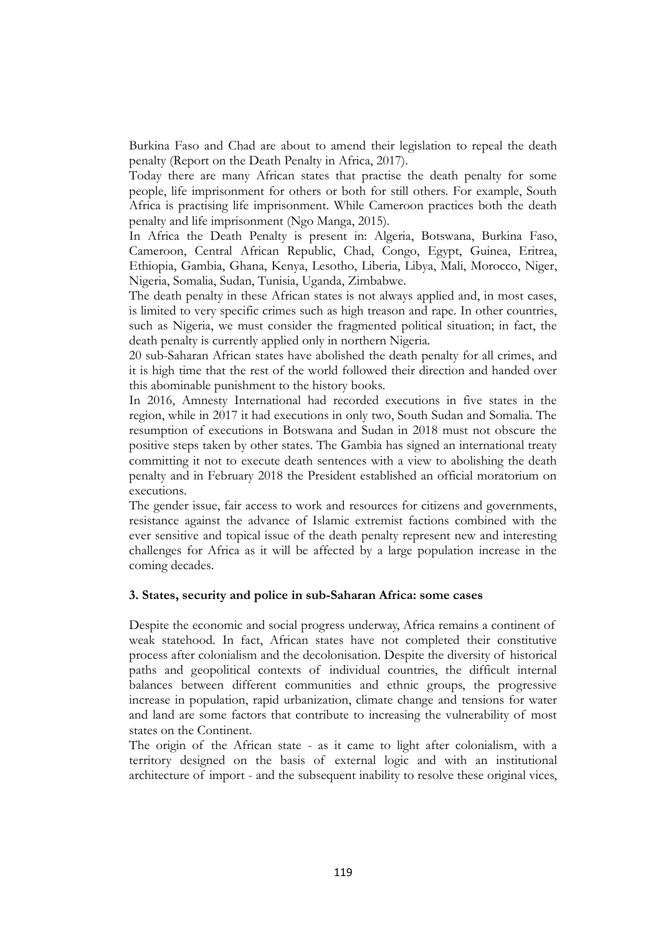Burkina Faso and Chad are about to amend their legislation to repeal the death penalty (Report on the Death Penalty in Africa, 2017).

Today there are many African states that practise the death penalty for some people, life imprisonment for others or both for still others. For example, South Africa is practising life imprisonment. While Cameroon practices both the death penalty and life imprisonment (Ngo Manga, 2015).

In Africa the Death Penalty is present in: Algeria, Botswana, Burkina Faso, Cameroon, Central African Republic, Chad, Congo, Egypt, Guinea, Eritrea, Ethiopia, Gambia, Ghana, Kenya, Lesotho, Liberia, Libya, Mali, Morocco, Niger, Nigeria, Somalia, Sudan, Tunisia, Uganda, Zimbabwe.

The death penalty in these African states is not always applied and, in most cases, is limited to very specific crimes such as high treason and rape. In other countries, such as Nigeria, we must consider the fragmented political situation; in fact, the death penalty is currently applied only in northern Nigeria.

20 sub-Saharan African states have abolished the death penalty for all crimes, and it is high time that the rest of the world followed their direction and handed over this abominable punishment to the history books.

In 2016, Amnesty International had recorded executions in five states in the region, while in 2017 it had executions in only two, South Sudan and Somalia. The resumption of executions in Botswana and Sudan in 2018 must not obscure the positive steps taken by other states. The Gambia has signed an international treaty committing it not to execute death sentences with a view to abolishing the death penalty and in February 2018 the President established an official moratorium on executions.

The gender issue, fair access to work and resources for citizens and governments, resistance against the advance of Islamic extremist factions combined with the ever sensitive and topical issue of the death penalty represent new and interesting challenges for Africa as it will be affected by a large population increase in the coming decades.

## **3. States, security and police in sub-Saharan Africa: some cases**

Despite the economic and social progress underway, Africa remains a continent of weak statehood. In fact, African states have not completed their constitutive process after colonialism and the decolonisation. Despite the diversity of historical paths and geopolitical contexts of individual countries, the difficult internal balances between different communities and ethnic groups, the progressive increase in population, rapid urbanization, climate change and tensions for water and land are some factors that contribute to increasing the vulnerability of most states on the Continent.

The origin of the African state - as it came to light after colonialism, with a territory designed on the basis of external logic and with an institutional architecture of import - and the subsequent inability to resolve these original vices,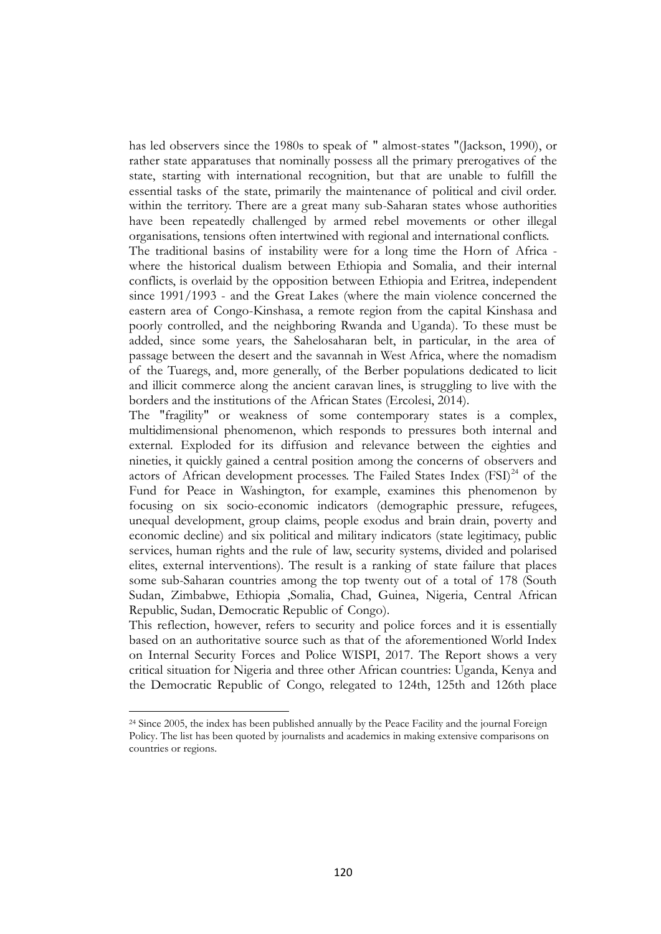has led observers since the 1980s to speak of " almost-states "(Jackson, 1990), or rather state apparatuses that nominally possess all the primary prerogatives of the state, starting with international recognition, but that are unable to fulfill the essential tasks of the state, primarily the maintenance of political and civil order. within the territory. There are a great many sub-Saharan states whose authorities have been repeatedly challenged by armed rebel movements or other illegal organisations, tensions often intertwined with regional and international conflicts.

The traditional basins of instability were for a long time the Horn of Africa where the historical dualism between Ethiopia and Somalia, and their internal conflicts, is overlaid by the opposition between Ethiopia and Eritrea, independent since 1991/1993 - and the Great Lakes (where the main violence concerned the eastern area of Congo-Kinshasa, a remote region from the capital Kinshasa and poorly controlled, and the neighboring Rwanda and Uganda). To these must be added, since some years, the Sahelosaharan belt, in particular, in the area of passage between the desert and the savannah in West Africa, where the nomadism of the Tuaregs, and, more generally, of the Berber populations dedicated to licit and illicit commerce along the ancient caravan lines, is struggling to live with the borders and the institutions of the African States (Ercolesi, 2014).

The "fragility" or weakness of some contemporary states is a complex, multidimensional phenomenon, which responds to pressures both internal and external. Exploded for its diffusion and relevance between the eighties and nineties, it quickly gained a central position among the concerns of observers and actors of African development processes. The Failed States Index (FSI)<sup>24</sup> of the Fund for Peace in Washington, for example, examines this phenomenon by focusing on six socio-economic indicators (demographic pressure, refugees, unequal development, group claims, people exodus and brain drain, poverty and economic decline) and six political and military indicators (state legitimacy, public services, human rights and the rule of law, security systems, divided and polarised elites, external interventions). The result is a ranking of state failure that places some sub-Saharan countries among the top twenty out of a total of 178 (South Sudan, Zimbabwe, Ethiopia ,Somalia, Chad, Guinea, Nigeria, Central African Republic, Sudan, Democratic Republic of Congo).

This reflection, however, refers to security and police forces and it is essentially based on an authoritative source such as that of the aforementioned World Index on Internal Security Forces and Police WISPI, 2017. The Report shows a very critical situation for Nigeria and three other African countries: Uganda, Kenya and the Democratic Republic of Congo, relegated to 124th, 125th and 126th place

<sup>&</sup>lt;sup>24</sup> Since 2005, the index has been published annually by the Peace Facility and the journal Foreign Policy. The list has been quoted by journalists and academics in making extensive comparisons on countries or regions.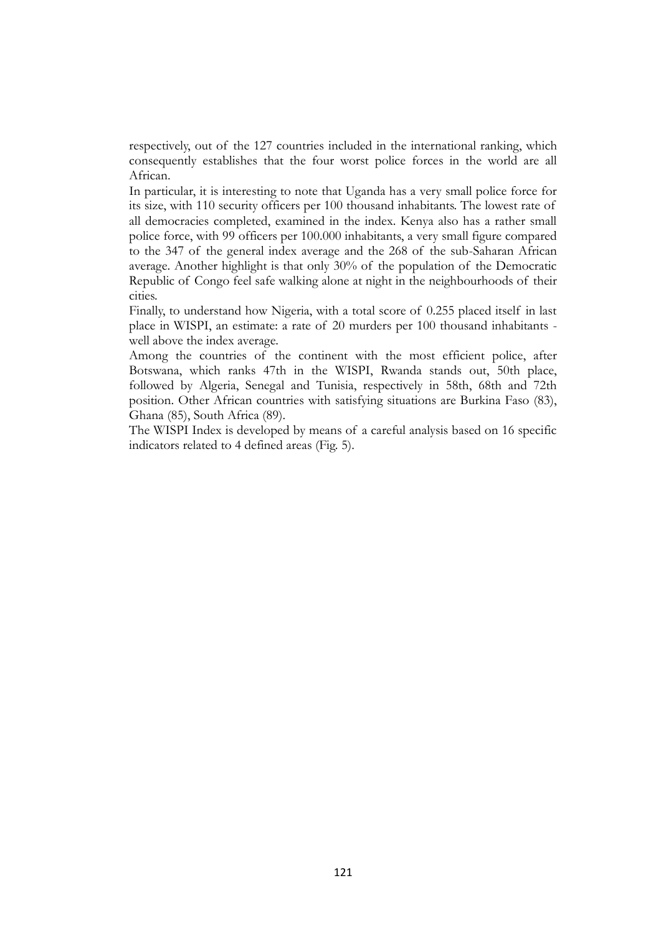respectively, out of the 127 countries included in the international ranking, which consequently establishes that the four worst police forces in the world are all African.

In particular, it is interesting to note that Uganda has a very small police force for its size, with 110 security officers per 100 thousand inhabitants. The lowest rate of all democracies completed, examined in the index. Kenya also has a rather small police force, with 99 officers per 100.000 inhabitants, a very small figure compared to the 347 of the general index average and the 268 of the sub-Saharan African average. Another highlight is that only 30% of the population of the Democratic Republic of Congo feel safe walking alone at night in the neighbourhoods of their cities.

Finally, to understand how Nigeria, with a total score of 0.255 placed itself in last place in WISPI, an estimate: a rate of 20 murders per 100 thousand inhabitants well above the index average.

Among the countries of the continent with the most efficient police, after Botswana, which ranks 47th in the WISPI, Rwanda stands out, 50th place, followed by Algeria, Senegal and Tunisia, respectively in 58th, 68th and 72th position. Other African countries with satisfying situations are Burkina Faso (83), Ghana (85), South Africa (89).

The WISPI Index is developed by means of a careful analysis based on 16 specific indicators related to 4 defined areas (Fig. 5).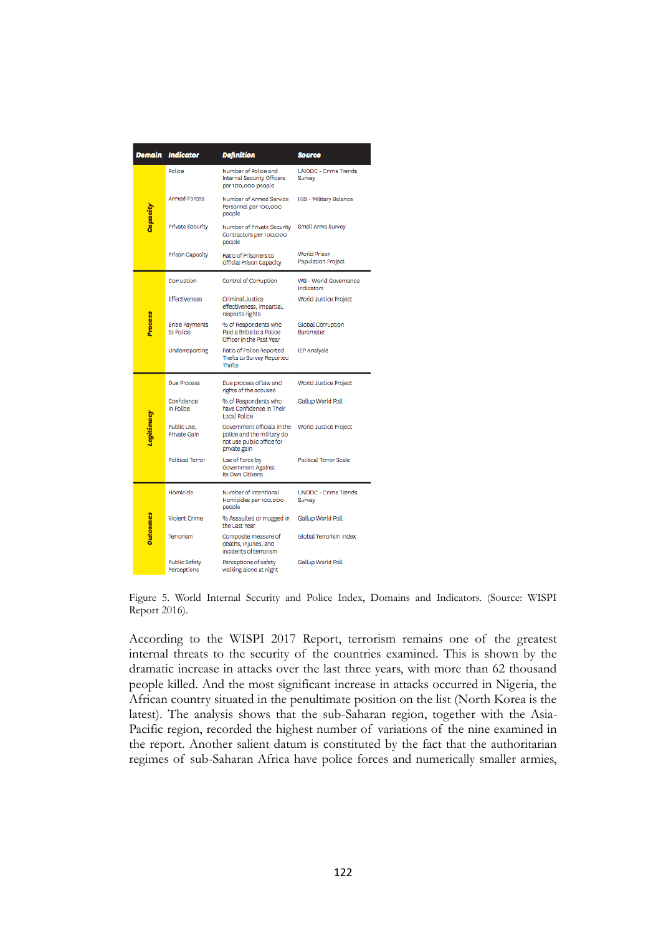| Domain          | <b>Indicator</b>                    | <b>Definition</b>                                                                                      | <b>Source</b>                             |
|-----------------|-------------------------------------|--------------------------------------------------------------------------------------------------------|-------------------------------------------|
| Capacity        | Police                              | Number of Police and<br><b>Internal Security Officers</b><br>per 100,000 people                        | <b>UNODC - Crime Trends</b><br>Survey     |
|                 | <b>Armed Forces</b>                 | Number of Armed Service<br>Personnel per 100,000<br>people                                             | <b>IISS - Military Balance</b>            |
|                 | Private Security                    | Number of Private Security<br>Contractors per 100,000<br>people                                        | Small Arms Survey                         |
|                 | Prison Capacity                     | Ratio of Prisoners to<br>Official Prison Capacity                                                      | World Prison<br><b>Population Project</b> |
| <b>Process</b>  | Corruption                          | Control of Corruption                                                                                  | WB - World Governance<br>Indicators       |
|                 | <b>Effectiveness</b>                | Criminal Justice<br>effectiveness, impartial,<br>respects rights                                       | World Justice Project                     |
|                 | <b>Bribe Payments</b><br>to Police  | % of Respondents who<br>Paid a Bribe to a Police<br>Officer in the Past Year                           | Global Corruption<br>Barometer            |
|                 | Underreporting                      | Ratio of Police Reported<br>Thefts to Survey Reported<br><b>Thefts</b>                                 | <b>IEP Analysis</b>                       |
| Legitimacy      | Due Process                         | Due process of law and<br>rights of the accused                                                        | World Justice Project                     |
|                 | Confidence<br>in Police             | % of Respondents who<br>have Confidence in Their<br>Local Police                                       | Gallup World Poll                         |
|                 | Public Use.<br>Private Gain         | Government officials in the<br>police and the military do<br>not use public office for<br>private gain | World Justice Project                     |
|                 | <b>Political Terror</b>             | Use of Force by<br>Government Against<br>Its Own Citizens                                              | Political Terror Scale                    |
| <b>Dutcomes</b> | Homicide                            | Number of Intentional<br>Homicides per 100,000<br>people                                               | <b>UNODC - Crime Trends</b><br>Survey     |
|                 | Violent Crime                       | % Assaulted or mugged in<br>the Last Year                                                              | Gallup World Poll                         |
|                 | Terrorism                           | Composite measure of<br>deaths, injuries, and<br>incidents of terrorism                                | Global Terrorism Index                    |
|                 | <b>Public Safety</b><br>Perceptions | Perceptions of safety<br>walking alone at night                                                        | Gallup World Poll                         |

Figure 5. World Internal Security and Police Index, Domains and Indicators. (Source: WISPI Report 2016).

According to the WISPI 2017 Report, terrorism remains one of the greatest internal threats to the security of the countries examined. This is shown by the dramatic increase in attacks over the last three years, with more than 62 thousand people killed. And the most significant increase in attacks occurred in Nigeria, the African country situated in the penultimate position on the list (North Korea is the latest). The analysis shows that the sub-Saharan region, together with the Asia-Pacific region, recorded the highest number of variations of the nine examined in the report. Another salient datum is constituted by the fact that the authoritarian regimes of sub-Saharan Africa have police forces and numerically smaller armies,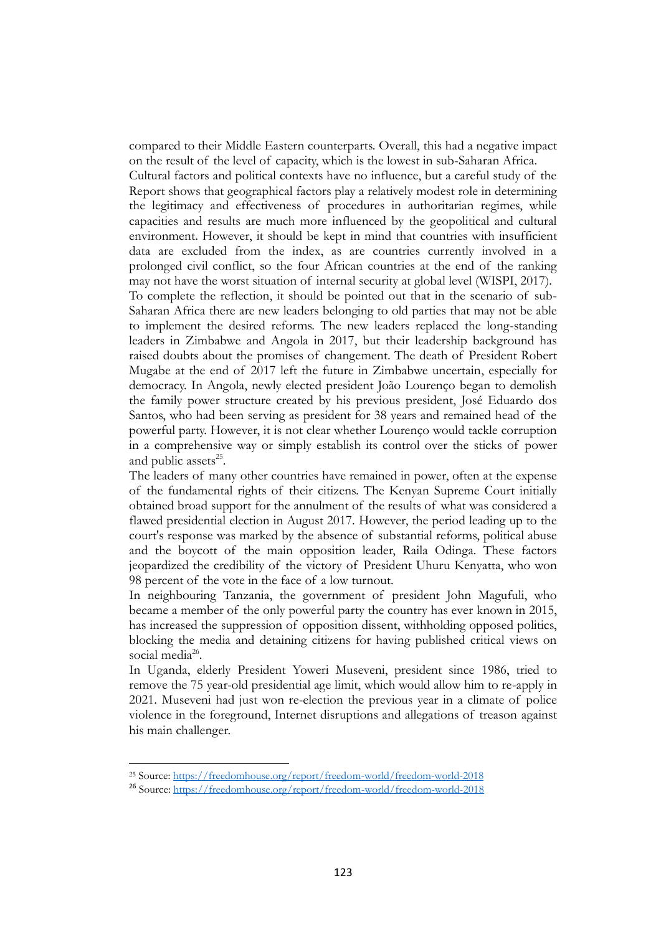compared to their Middle Eastern counterparts. Overall, this had a negative impact on the result of the level of capacity, which is the lowest in sub-Saharan Africa.

Cultural factors and political contexts have no influence, but a careful study of the Report shows that geographical factors play a relatively modest role in determining the legitimacy and effectiveness of procedures in authoritarian regimes, while capacities and results are much more influenced by the geopolitical and cultural environment. However, it should be kept in mind that countries with insufficient data are excluded from the index, as are countries currently involved in a prolonged civil conflict, so the four African countries at the end of the ranking may not have the worst situation of internal security at global level (WISPI, 2017). To complete the reflection, it should be pointed out that in the scenario of sub-Saharan Africa there are new leaders belonging to old parties that may not be able to implement the desired reforms. The new leaders replaced the long-standing leaders in Zimbabwe and Angola in 2017, but their leadership background has raised doubts about the promises of changement. The death of President Robert Mugabe at the end of 2017 left the future in Zimbabwe uncertain, especially for democracy. In Angola, newly elected president João Lourenço began to demolish the family power structure created by his previous president, José Eduardo dos Santos, who had been serving as president for 38 years and remained head of the powerful party. However, it is not clear whether Lourenço would tackle corruption in a comprehensive way or simply establish its control over the sticks of power and public assets<sup>25</sup>.

The leaders of many other countries have remained in power, often at the expense of the fundamental rights of their citizens. The Kenyan Supreme Court initially obtained broad support for the annulment of the results of what was considered a flawed presidential election in August 2017. However, the period leading up to the court's response was marked by the absence of substantial reforms, political abuse and the boycott of the main opposition leader, Raila Odinga. These factors jeopardized the credibility of the victory of President Uhuru Kenyatta, who won 98 percent of the vote in the face of a low turnout.

In neighbouring Tanzania, the government of president John Magufuli, who became a member of the only powerful party the country has ever known in 2015, has increased the suppression of opposition dissent, withholding opposed politics, blocking the media and detaining citizens for having published critical views on social media<sup>26</sup>.

In Uganda, elderly President Yoweri Museveni, president since 1986, tried to remove the 75 year-old presidential age limit, which would allow him to re-apply in 2021. Museveni had just won re-election the previous year in a climate of police violence in the foreground, Internet disruptions and allegations of treason against his main challenger.

<u>.</u>

<sup>25</sup> Source:<https://freedomhouse.org/report/freedom-world/freedom-world-2018>

<sup>26</sup> Source:<https://freedomhouse.org/report/freedom-world/freedom-world-2018>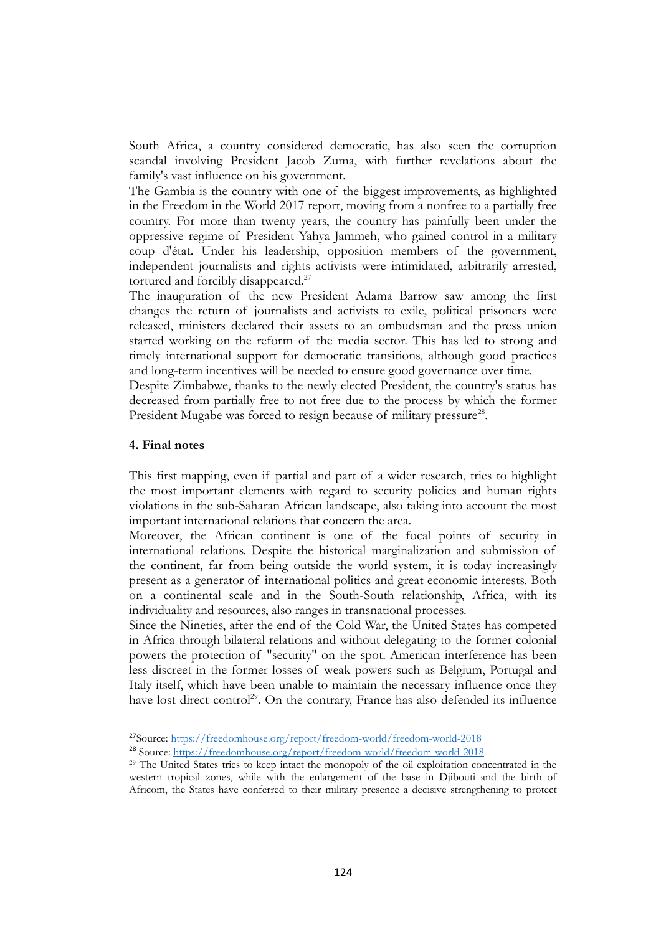South Africa, a country considered democratic, has also seen the corruption scandal involving President Jacob Zuma, with further revelations about the family's vast influence on his government.

The Gambia is the country with one of the biggest improvements, as highlighted in the Freedom in the World 2017 report, moving from a nonfree to a partially free country. For more than twenty years, the country has painfully been under the oppressive regime of President Yahya Jammeh, who gained control in a military coup d'état. Under his leadership, opposition members of the government, independent journalists and rights activists were intimidated, arbitrarily arrested, tortured and forcibly disappeared.<sup>27</sup>

The inauguration of the new President Adama Barrow saw among the first changes the return of journalists and activists to exile, political prisoners were released, ministers declared their assets to an ombudsman and the press union started working on the reform of the media sector. This has led to strong and timely international support for democratic transitions, although good practices and long-term incentives will be needed to ensure good governance over time.

Despite Zimbabwe, thanks to the newly elected President, the country's status has decreased from partially free to not free due to the process by which the former President Mugabe was forced to resign because of military pressure<sup>28</sup>.

#### **4. Final notes**

1

This first mapping, even if partial and part of a wider research, tries to highlight the most important elements with regard to security policies and human rights violations in the sub-Saharan African landscape, also taking into account the most important international relations that concern the area.

Moreover, the African continent is one of the focal points of security in international relations. Despite the historical marginalization and submission of the continent, far from being outside the world system, it is today increasingly present as a generator of international politics and great economic interests. Both on a continental scale and in the South-South relationship, Africa, with its individuality and resources, also ranges in transnational processes.

Since the Nineties, after the end of the Cold War, the United States has competed in Africa through bilateral relations and without delegating to the former colonial powers the protection of "security" on the spot. American interference has been less discreet in the former losses of weak powers such as Belgium, Portugal and Italy itself, which have been unable to maintain the necessary influence once they have lost direct control<sup>29</sup>. On the contrary, France has also defended its influence

<sup>27</sup>Source:<https://freedomhouse.org/report/freedom-world/freedom-world-2018>

<sup>28</sup> Source:<https://freedomhouse.org/report/freedom-world/freedom-world-2018>

<sup>29</sup> The United States tries to keep intact the monopoly of the oil exploitation concentrated in the western tropical zones, while with the enlargement of the base in Djibouti and the birth of Africom, the States have conferred to their military presence a decisive strengthening to protect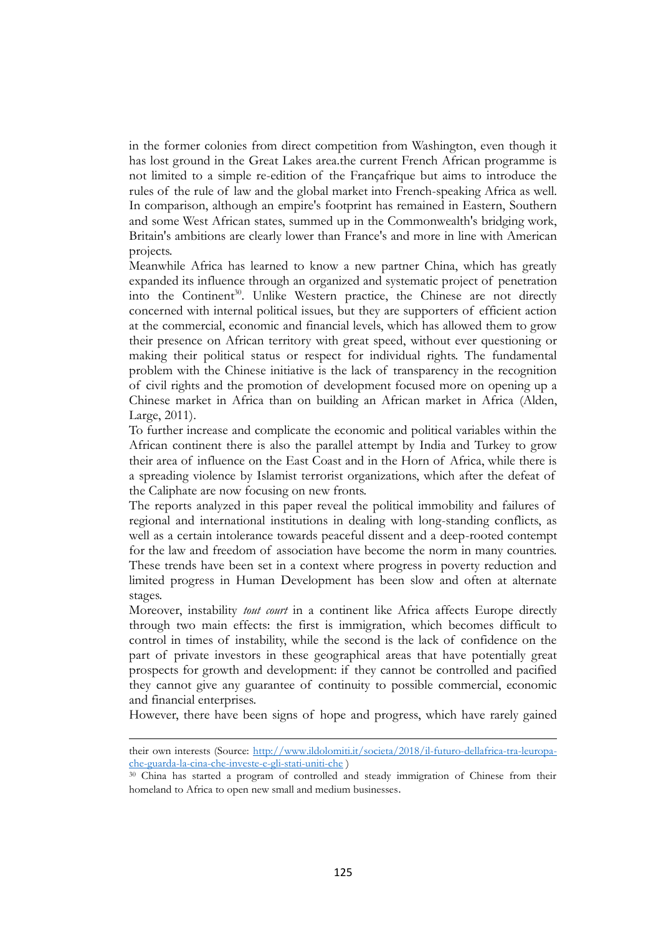in the former colonies from direct competition from Washington, even though it has lost ground in the Great Lakes area.the current French African programme is not limited to a simple re-edition of the Françafrique but aims to introduce the rules of the rule of law and the global market into French-speaking Africa as well. In comparison, although an empire's footprint has remained in Eastern, Southern and some West African states, summed up in the Commonwealth's bridging work, Britain's ambitions are clearly lower than France's and more in line with American projects.

Meanwhile Africa has learned to know a new partner China, which has greatly expanded its influence through an organized and systematic project of penetration into the Continent<sup>30</sup>. Unlike Western practice, the Chinese are not directly concerned with internal political issues, but they are supporters of efficient action at the commercial, economic and financial levels, which has allowed them to grow their presence on African territory with great speed, without ever questioning or making their political status or respect for individual rights. The fundamental problem with the Chinese initiative is the lack of transparency in the recognition of civil rights and the promotion of development focused more on opening up a Chinese market in Africa than on building an African market in Africa (Alden, Large, 2011).

To further increase and complicate the economic and political variables within the African continent there is also the parallel attempt by India and Turkey to grow their area of influence on the East Coast and in the Horn of Africa, while there is a spreading violence by Islamist terrorist organizations, which after the defeat of the Caliphate are now focusing on new fronts.

The reports analyzed in this paper reveal the political immobility and failures of regional and international institutions in dealing with long-standing conflicts, as well as a certain intolerance towards peaceful dissent and a deep-rooted contempt for the law and freedom of association have become the norm in many countries. These trends have been set in a context where progress in poverty reduction and limited progress in Human Development has been slow and often at alternate stages.

Moreover, instability *tout court* in a continent like Africa affects Europe directly through two main effects: the first is immigration, which becomes difficult to control in times of instability, while the second is the lack of confidence on the part of private investors in these geographical areas that have potentially great prospects for growth and development: if they cannot be controlled and pacified they cannot give any guarantee of continuity to possible commercial, economic and financial enterprises.

However, there have been signs of hope and progress, which have rarely gained

their own interests (Source: [http://www.ildolomiti.it/societa/2018/il-futuro-dellafrica-tra-leuropa](http://www.ildolomiti.it/societa/2018/il-futuro-dellafrica-tra-leuropa-che-guarda-la-cina-che-investe-e-gli-stati-uniti-che)[che-guarda-la-cina-che-investe-e-gli-stati-uniti-che](http://www.ildolomiti.it/societa/2018/il-futuro-dellafrica-tra-leuropa-che-guarda-la-cina-che-investe-e-gli-stati-uniti-che) )

<sup>30</sup> China has started a program of controlled and steady immigration of Chinese from their homeland to Africa to open new small and medium businesses.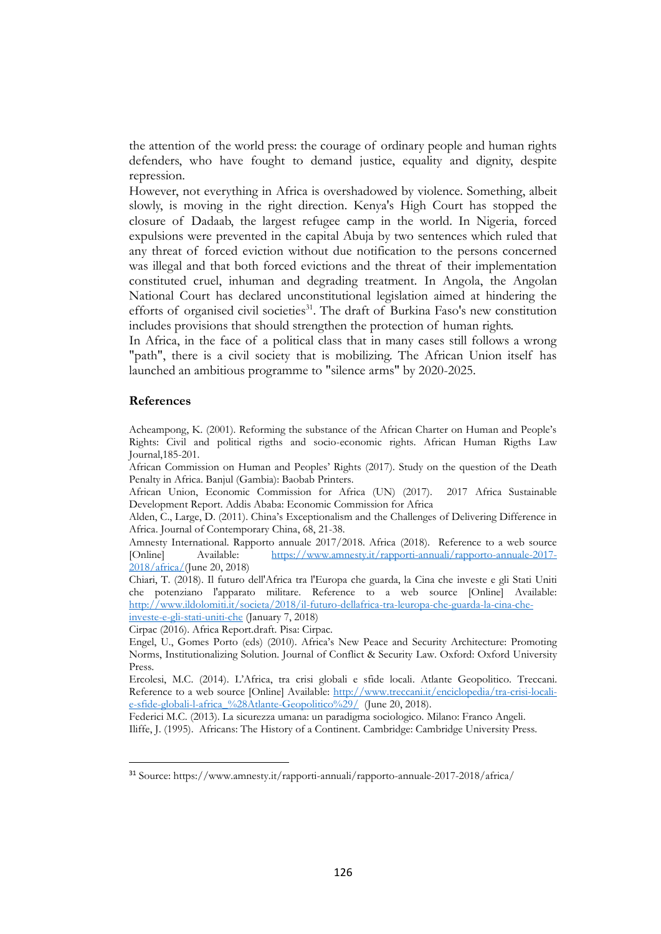the attention of the world press: the courage of ordinary people and human rights defenders, who have fought to demand justice, equality and dignity, despite repression.

However, not everything in Africa is overshadowed by violence. Something, albeit slowly, is moving in the right direction. Kenya's High Court has stopped the closure of Dadaab, the largest refugee camp in the world. In Nigeria, forced expulsions were prevented in the capital Abuja by two sentences which ruled that any threat of forced eviction without due notification to the persons concerned was illegal and that both forced evictions and the threat of their implementation constituted cruel, inhuman and degrading treatment. In Angola, the Angolan National Court has declared unconstitutional legislation aimed at hindering the efforts of organised civil societies<sup>31</sup>. The draft of Burkina Faso's new constitution includes provisions that should strengthen the protection of human rights.

In Africa, in the face of a political class that in many cases still follows a wrong "path", there is a civil society that is mobilizing. The African Union itself has launched an ambitious programme to "silence arms" by 2020-2025.

#### **References**

1

Acheampong, K. (2001). Reforming the substance of the African Charter on Human and People's Rights: Civil and political rigths and socio-economic rights. African Human Rigths Law Journal,185-201.

African Commission on Human and Peoples' Rights (2017). Study on the question of the Death Penalty in Africa. Banjul (Gambia): Baobab Printers.

African Union, Economic Commission for Africa (UN) (2017). 2017 Africa Sustainable Development Report. Addis Ababa: Economic Commission for Africa

Alden, C., Large, D. (2011). China's Exceptionalism and the Challenges of Delivering Difference in Africa. Journal of Contemporary China, 68, 21-38.

Amnesty International. Rapporto annuale 2017/2018. Africa (2018). Reference to a web source [Online] Available: [https://www.amnesty.it/rapporti-annuali/rapporto-annuale-2017-](https://www.amnesty.it/rapporti-annuali/rapporto-annuale-2017-2018/africa/) [2018/africa/\(](https://www.amnesty.it/rapporti-annuali/rapporto-annuale-2017-2018/africa/)June 20, 2018)

Chiari, T. (2018). Il futuro dell'Africa tra l'Europa che guarda, la Cina che investe e gli Stati Uniti che potenziano l'apparato militare. Reference to a web source [Online] Available: [http://www.ildolomiti.it/societa/2018/il-futuro-dellafrica-tra-leuropa-che-guarda-la-cina-che](http://www.ildolomiti.it/societa/2018/il-futuro-dellafrica-tra-leuropa-che-guarda-la-cina-che-investe-e-gli-stati-uniti-che)[investe-e-gli-stati-uniti-che](http://www.ildolomiti.it/societa/2018/il-futuro-dellafrica-tra-leuropa-che-guarda-la-cina-che-investe-e-gli-stati-uniti-che) (January 7, 2018)

Cirpac (2016). Africa Report.draft. Pisa: Cirpac.

Engel, U., Gomes Porto (eds) (2010). Africa's New Peace and Security Architecture: Promoting Norms, Institutionalizing Solution. Journal of Conflict & Security Law. Oxford: Oxford University Press.

Ercolesi, M.C. (2014). L'Africa, tra crisi globali e sfide locali. Atlante Geopolitico. Treccani. Reference to a web source [Online] Available: [http://www.treccani.it/enciclopedia/tra-crisi-locali](http://www.treccani.it/enciclopedia/tra-crisi-locali-e-sfide-globali-l-africa_%28Atlante-Geopolitico%29/)[e-sfide-globali-l-africa\\_%28Atlante-Geopolitico%29/](http://www.treccani.it/enciclopedia/tra-crisi-locali-e-sfide-globali-l-africa_%28Atlante-Geopolitico%29/) (June 20, 2018).

Federici M.C. (2013). La sicurezza umana: un paradigma sociologico. Milano: Franco Angeli.

Iliffe, J. (1995). Africans: The History of a Continent. Cambridge: Cambridge University Press.

<sup>31</sup> Source: https://www.amnesty.it/rapporti-annuali/rapporto-annuale-2017-2018/africa/